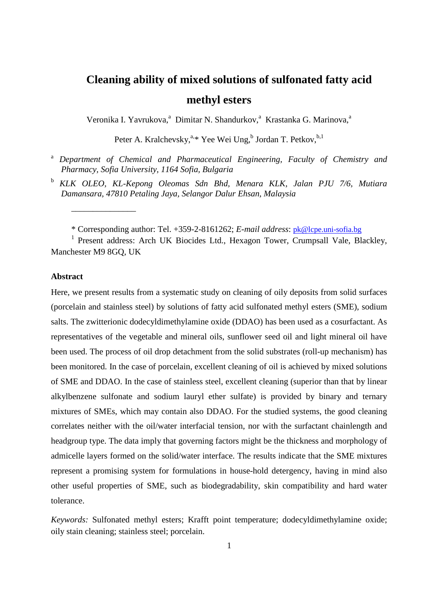# **Cleaning ability of mixed solutions of sulfonated fatty acid methyl esters**

Veronika I. Yavrukova,<sup>a</sup> Dimitar N. Shandurkov,<sup>a</sup> Krastanka G. Marinova,<sup>a</sup>

Peter A. Kralchevsky,<sup>a,\*</sup> Yee Wei Ung,<sup>b</sup> Jordan T. Petkov,<sup>b,1</sup>

- <sup>a</sup> *Department of Chemical and Pharmaceutical Engineering, Faculty of Chemistry and Pharmacy, Sofia University, 1164 Sofia, Bulgaria*
- <sup>b</sup> *KLK OLEO, KL-Kepong Oleomas Sdn Bhd, Menara KLK, Jalan PJU 7/6, Mutiara Damansara, 47810 Petaling Jaya, Selangor Dalur Ehsan, Malaysia*

\* Corresponding author: Tel. +359-2-8161262; *E-mail address*: [pk@lcpe.uni-sofia.bg](mailto:pk@lcpe.uni-sofia.bg)

<sup>1</sup> Present address: Arch UK Biocides Ltd., Hexagon Tower, Crumpsall Vale, Blackley, Manchester M9 8GQ, UK

### **Abstract**

\_\_\_\_\_\_\_\_\_\_\_\_\_\_\_

Here, we present results from a systematic study on cleaning of oily deposits from solid surfaces (porcelain and stainless steel) by solutions of fatty acid sulfonated methyl esters (SME), sodium salts. The zwitterionic dodecyldimethylamine oxide (DDAO) has been used as a cosurfactant. As representatives of the vegetable and mineral oils, sunflower seed oil and light mineral oil have been used. The process of oil drop detachment from the solid substrates (roll-up mechanism) has been monitored. In the case of porcelain, excellent cleaning of oil is achieved by mixed solutions of SME and DDAO. In the case of stainless steel, excellent cleaning (superior than that by linear alkylbenzene sulfonate and sodium lauryl ether sulfate) is provided by binary and ternary mixtures of SMEs, which may contain also DDAO. For the studied systems, the good cleaning correlates neither with the oil/water interfacial tension, nor with the surfactant chainlength and headgroup type. The data imply that governing factors might be the thickness and morphology of admicelle layers formed on the solid/water interface. The results indicate that the SME mixtures represent a promising system for formulations in house-hold detergency, having in mind also other useful properties of SME, such as biodegradability, skin compatibility and hard water tolerance.

*Keywords:* Sulfonated methyl esters; Krafft point temperature; dodecyldimethylamine oxide; oily stain cleaning; stainless steel; porcelain.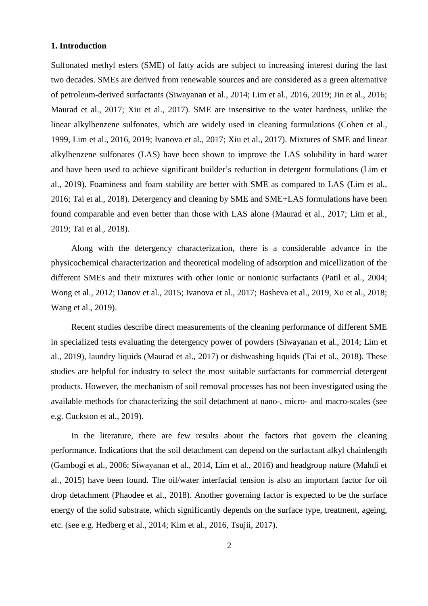## **1. Introduction**

Sulfonated methyl esters (SME) of fatty acids are subject to increasing interest during the last two decades. SMEs are derived from renewable sources and are considered as a green alternative of petroleum-derived surfactants (Siwayanan et al., 2014; Lim et al., 2016, 2019; Jin et al., 2016; Maurad et al., 2017; Xiu et al., 2017). SME are insensitive to the water hardness, unlike the linear alkylbenzene sulfonates, which are widely used in cleaning formulations (Cohen et al., 1999, Lim et al., 2016, 2019; Ivanova et al., 2017; Xiu et al., 2017). Mixtures of SME and linear alkylbenzene sulfonates (LAS) have been shown to improve the LAS solubility in hard water and have been used to achieve significant builder's reduction in detergent formulations (Lim et al., 2019). Foaminess and foam stability are better with SME as compared to LAS (Lim et al., 2016; Tai et al., 2018). Detergency and cleaning by SME and SME+LAS formulations have been found comparable and even better than those with LAS alone (Maurad et al., 2017; Lim et al., 2019; Tai et al., 2018).

Along with the detergency characterization, there is a considerable advance in the physicochemical characterization and theoretical modeling of adsorption and micellization of the different SMEs and their mixtures with other ionic or nonionic surfactants (Patil et al., 2004; Wong et al., 2012; Danov et al., 2015; Ivanova et al., 2017; Basheva et al., 2019, Xu et al., 2018; Wang et al., 2019).

Recent studies describe direct measurements of the cleaning performance of different SME in specialized tests evaluating the detergency power of powders (Siwayanan et al., 2014; Lim et al., 2019), laundry liquids (Maurad et al., 2017) or dishwashing liquids (Tai et al., 2018). These studies are helpful for industry to select the most suitable surfactants for commercial detergent products. However, the mechanism of soil removal processes has not been investigated using the available methods for characterizing the soil detachment at nano-, micro- and macro-scales (see e.g. Cuckston et al., 2019).

In the literature, there are few results about the factors that govern the cleaning performance. Indications that the soil detachment can depend on the surfactant alkyl chainlength (Gambogi et al., 2006; Siwayanan et al., 2014, Lim et al., 2016) and headgroup nature (Mahdi et al., 2015) have been found. The oil/water interfacial tension is also an important factor for oil drop detachment (Phaodee et al., 2018). Another governing factor is expected to be the surface energy of the solid substrate, which significantly depends on the surface type, treatment, ageing, etc. (see e.g. Hedberg et al., 2014; Kim et al., 2016, Tsujii, 2017).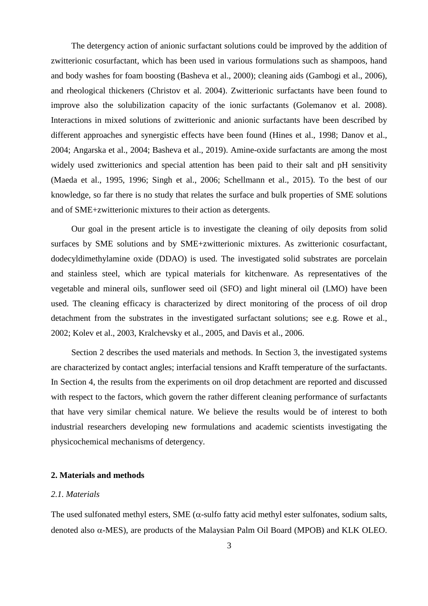The detergency action of anionic surfactant solutions could be improved by the addition of zwitterionic cosurfactant, which has been used in various formulations such as shampoos, hand and body washes for foam boosting (Basheva et al., 2000); cleaning aids (Gambogi et al., 2006), and rheological thickeners (Christov et al. 2004). Zwitterionic surfactants have been found to improve also the solubilization capacity of the ionic surfactants (Golemanov et al. 2008). Interactions in mixed solutions of zwitterionic and anionic surfactants have been described by different approaches and synergistic effects have been found (Hines et al., 1998; Danov et al., 2004; Angarska et al., 2004; Basheva et al., 2019). Amine-oxide surfactants are among the most widely used zwitterionics and special attention has been paid to their salt and pH sensitivity (Maeda et al., 1995, 1996; Singh et al., 2006; Schellmann et al., 2015). To the best of our knowledge, so far there is no study that relates the surface and bulk properties of SME solutions and of SME+zwitterionic mixtures to their action as detergents.

Our goal in the present article is to investigate the cleaning of oily deposits from solid surfaces by SME solutions and by SME+zwitterionic mixtures. As zwitterionic cosurfactant, dodecyldimethylamine oxide (DDAO) is used. The investigated solid substrates are porcelain and stainless steel, which are typical materials for kitchenware. As representatives of the vegetable and mineral oils, sunflower seed oil (SFO) and light mineral oil (LMO) have been used. The cleaning efficacy is characterized by direct monitoring of the process of oil drop detachment from the substrates in the investigated surfactant solutions; see e.g. Rowe et al., 2002; Kolev et al., 2003, Kralchevsky et al., 2005, and Davis et al., 2006.

Section 2 describes the used materials and methods. In Section 3, the investigated systems are characterized by contact angles; interfacial tensions and Krafft temperature of the surfactants. In Section 4, the results from the experiments on oil drop detachment are reported and discussed with respect to the factors, which govern the rather different cleaning performance of surfactants that have very similar chemical nature. We believe the results would be of interest to both industrial researchers developing new formulations and academic scientists investigating the physicochemical mechanisms of detergency.

#### **2. Materials and methods**

### *2.1. Materials*

The used sulfonated methyl esters, SME ( $\alpha$ -sulfo fatty acid methyl ester sulfonates, sodium salts, denoted also α-MES), are products of the Malaysian Palm Oil Board (MPOB) and KLK OLEO.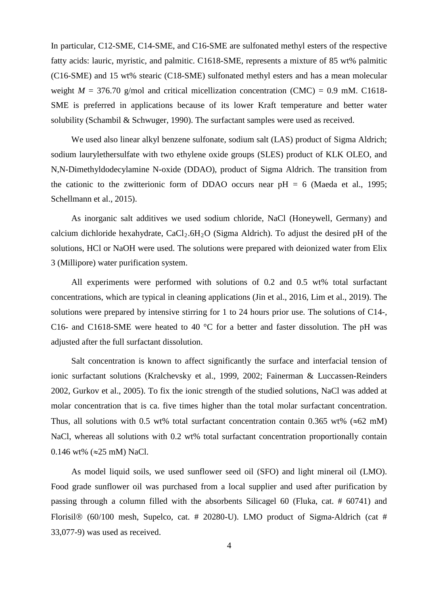In particular, C12-SME, C14-SME, and C16-SME are sulfonated methyl esters of the respective fatty acids: lauric, myristic, and palmitic. C1618-SME, represents a mixture of 85 wt% palmitic (C16-SME) and 15 wt% stearic (C18-SME) sulfonated methyl esters and has a mean molecular weight  $M = 376.70$  g/mol and critical micellization concentration (CMC) = 0.9 mM. C1618-SME is preferred in applications because of its lower Kraft temperature and better water solubility (Schambil & Schwuger, 1990). The surfactant samples were used as received.

We used also linear alkyl benzene sulfonate, sodium salt (LAS) product of Sigma Aldrich; sodium laurylethersulfate with two ethylene oxide groups (SLES) product of KLK OLEO, and N,N-Dimethyldodecylamine N-oxide (DDAO), product of Sigma Aldrich. The transition from the cationic to the zwitterionic form of DDAO occurs near  $pH = 6$  (Maeda et al., 1995; Schellmann et al., 2015).

As inorganic salt additives we used sodium chloride, NaCl (Honeywell, Germany) and calcium dichloride hexahydrate,  $CaCl<sub>2</sub>.6H<sub>2</sub>O$  (Sigma Aldrich). To adjust the desired pH of the solutions, HCl or NaOH were used. The solutions were prepared with deionized water from Elix 3 (Millipore) water purification system.

All experiments were performed with solutions of 0.2 and 0.5 wt% total surfactant concentrations, which are typical in cleaning applications (Jin et al., 2016, Lim et al., 2019). The solutions were prepared by intensive stirring for 1 to 24 hours prior use. The solutions of C14-, C16- and C1618-SME were heated to 40 °C for a better and faster dissolution. The pH was adjusted after the full surfactant dissolution.

Salt concentration is known to affect significantly the surface and interfacial tension of ionic surfactant solutions (Kralchevsky et al., 1999, 2002; Fainerman & Luccassen-Reinders 2002, Gurkov et al., 2005). To fix the ionic strength of the studied solutions, NaCl was added at molar concentration that is ca. five times higher than the total molar surfactant concentration. Thus, all solutions with 0.5 wt% total surfactant concentration contain 0.365 wt% ( $\approx 62$  mM) NaCl, whereas all solutions with 0.2 wt% total surfactant concentration proportionally contain 0.146 wt% ( $\approx$ 25 mM) NaCl.

As model liquid soils, we used sunflower seed oil (SFO) and light mineral oil (LMO). Food grade sunflower oil was purchased from a local supplier and used after purification by passing through a column filled with the absorbents Silicagel 60 (Fluka, cat. # 60741) and Florisil  $(60/100 \text{ mesh}, \text{Supelco}, \text{cat.} \# 20280 \text{--} \text{U})$ . LMO product of Sigma-Aldrich (cat # 33,077-9) was used as received.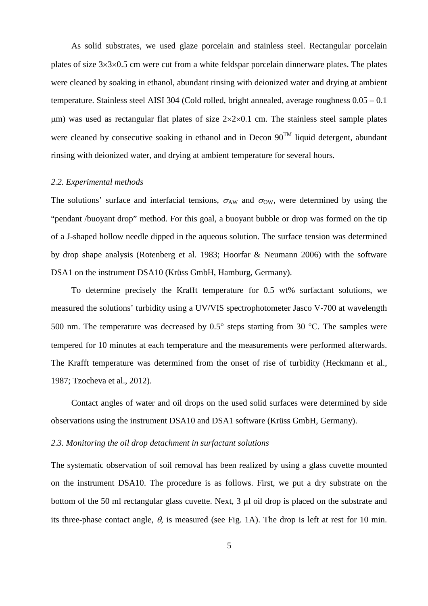As solid substrates, we used glaze porcelain and stainless steel. Rectangular porcelain plates of size 3×3×0.5 cm were cut from a white feldspar porcelain dinnerware plates. The plates were cleaned by soaking in ethanol, abundant rinsing with deionized water and drying at ambient temperature. Stainless steel AISI 304 (Cold rolled, bright annealed, average roughness 0.05 – 0.1  $\mu$ m) was used as rectangular flat plates of size  $2 \times 2 \times 0.1$  cm. The stainless steel sample plates were cleaned by consecutive soaking in ethanol and in Decon  $90^{TM}$  liquid detergent, abundant rinsing with deionized water, and drying at ambient temperature for several hours.

#### *2.2. Experimental methods*

The solutions' surface and interfacial tensions,  $\sigma_{AW}$  and  $\sigma_{OW}$ , were determined by using the "pendant /buoyant drop" method. For this goal, a buoyant bubble or drop was formed on the tip of a J-shaped hollow needle dipped in the aqueous solution. The surface tension was determined by drop shape analysis (Rotenberg et al. 1983; Hoorfar & Neumann 2006) with the software DSA1 on the instrument DSA10 (Krüss GmbH, Hamburg, Germany).

To determine precisely the Krafft temperature for 0.5 wt% surfactant solutions, we measured the solutions' turbidity using a UV/VIS spectrophotometer Jasco V-700 at wavelength 500 nm. The temperature was decreased by 0.5° steps starting from 30 °C. The samples were tempered for 10 minutes at each temperature and the measurements were performed afterwards. The Krafft temperature was determined from the onset of rise of turbidity (Heckmann et al., 1987; Tzocheva et al., 2012).

Contact angles of water and oil drops on the used solid surfaces were determined by side observations using the instrument DSA10 and DSA1 software (Krüss GmbH, Germany).

## *2.3. Monitoring the oil drop detachment in surfactant solutions*

The systematic observation of soil removal has been realized by using a glass cuvette mounted on the instrument DSA10. The procedure is as follows. First, we put a dry substrate on the bottom of the 50 ml rectangular glass cuvette. Next, 3  $\mu$ l oil drop is placed on the substrate and its three-phase contact angle,  $\theta$ , is measured (see Fig. 1A). The drop is left at rest for 10 min.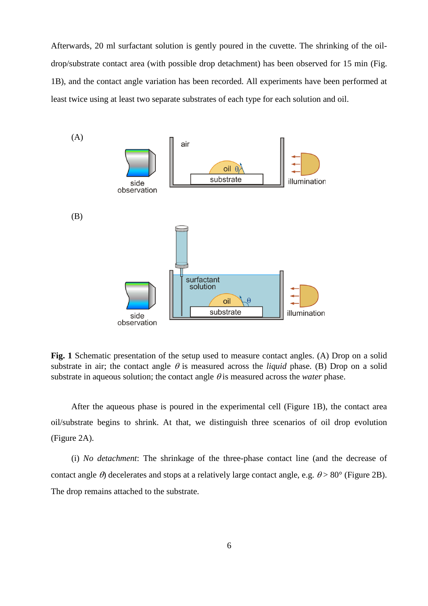Afterwards, 20 ml surfactant solution is gently poured in the cuvette. The shrinking of the oildrop/substrate contact area (with possible drop detachment) has been observed for 15 min (Fig. 1B), and the contact angle variation has been recorded. All experiments have been performed at least twice using at least two separate substrates of each type for each solution and oil.



**Fig. 1** Schematic presentation of the setup used to measure contact angles. (A) Drop on a solid substrate in air; the contact angle  $\theta$  is measured across the *liquid* phase. (B) Drop on a solid substrate in aqueous solution; the contact angle  $\theta$  is measured across the *water* phase.

After the aqueous phase is poured in the experimental cell (Figure 1B), the contact area oil/substrate begins to shrink. At that, we distinguish three scenarios of oil drop evolution (Figure 2A).

(i) *No detachment*: The shrinkage of the three-phase contact line (and the decrease of contact angle  $\theta$ ) decelerates and stops at a relatively large contact angle, e.g.  $\theta$  > 80° (Figure 2B). The drop remains attached to the substrate.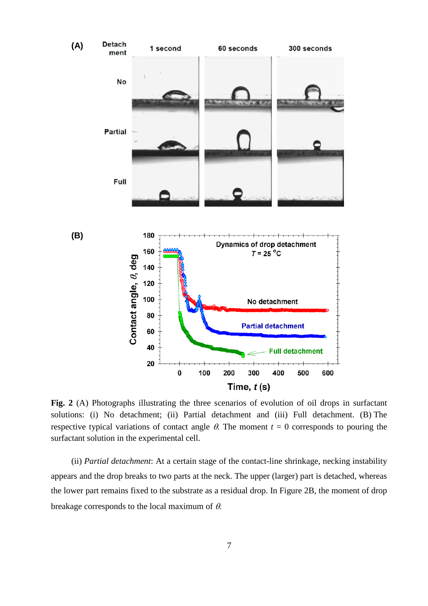

**Fig. 2** (A) Photographs illustrating the three scenarios of evolution of oil drops in surfactant solutions: (i) No detachment; (ii) Partial detachment and (iii) Full detachment. (B) The respective typical variations of contact angle  $\theta$ . The moment  $t = 0$  corresponds to pouring the surfactant solution in the experimental cell.

(ii) *Partial detachment*: At a certain stage of the contact-line shrinkage, necking instability appears and the drop breaks to two parts at the neck. The upper (larger) part is detached, whereas the lower part remains fixed to the substrate as a residual drop. In Figure 2B, the moment of drop breakage corresponds to the local maximum of  $\theta$ .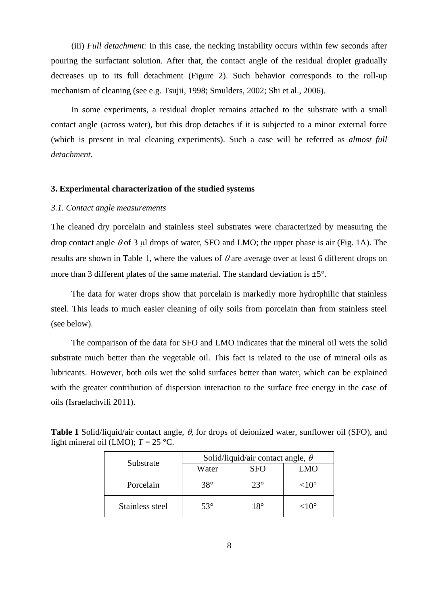(iii) *Full detachment*: In this case, the necking instability occurs within few seconds after pouring the surfactant solution. After that, the contact angle of the residual droplet gradually decreases up to its full detachment (Figure 2). Such behavior corresponds to the roll-up mechanism of cleaning (see e.g. Tsujii, 1998; Smulders, 2002; Shi et al., 2006).

In some experiments, a residual droplet remains attached to the substrate with a small contact angle (across water), but this drop detaches if it is subjected to a minor external force (which is present in real cleaning experiments). Such a case will be referred as *almost full detachment*.

### **3. Experimental characterization of the studied systems**

#### *3.1. Contact angle measurements*

The cleaned dry porcelain and stainless steel substrates were characterized by measuring the drop contact angle  $\theta$  of 3 µl drops of water, SFO and LMO; the upper phase is air (Fig. 1A). The results are shown in Table 1, where the values of  $\theta$  are average over at least 6 different drops on more than 3 different plates of the same material. The standard deviation is  $\pm 5^{\circ}$ .

The data for water drops show that porcelain is markedly more hydrophilic that stainless steel. This leads to much easier cleaning of oily soils from porcelain than from stainless steel (see below).

The comparison of the data for SFO and LMO indicates that the mineral oil wets the solid substrate much better than the vegetable oil. This fact is related to the use of mineral oils as lubricants. However, both oils wet the solid surfaces better than water, which can be explained with the greater contribution of dispersion interaction to the surface free energy in the case of oils (Israelachvili 2011).

| Substrate       | Solid/liquid/air contact angle, $\theta$ |            |                 |
|-----------------|------------------------------------------|------------|-----------------|
|                 | Water                                    | SFO        | MO              |
| Porcelain       | $38^\circ$                               | $23^\circ$ | ${<}10^{\circ}$ |
| Stainless steel | $53^\circ$                               | 18°        | ${<}10^{\circ}$ |

| <b>Table 1</b> Solid/liquid/air contact angle, $\theta$ , for drops of deionized water, sunflower oil (SFO), and |  |
|------------------------------------------------------------------------------------------------------------------|--|
| light mineral oil (LMO); $T = 25$ °C.                                                                            |  |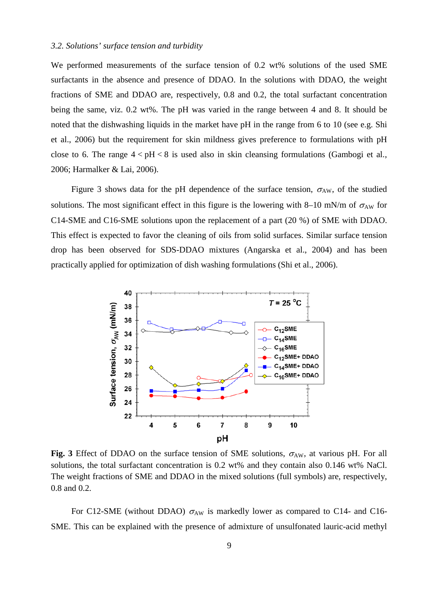### *3.2. Solutions' surface tension and turbidity*

We performed measurements of the surface tension of 0.2 wt% solutions of the used SME surfactants in the absence and presence of DDAO. In the solutions with DDAO, the weight fractions of SME and DDAO are, respectively, 0.8 and 0.2, the total surfactant concentration being the same, viz. 0.2 wt%. The pH was varied in the range between 4 and 8. It should be noted that the dishwashing liquids in the market have pH in the range from 6 to 10 (see e.g. Shi et al., 2006) but the requirement for skin mildness gives preference to formulations with pH close to 6. The range  $4 < pH < 8$  is used also in skin cleansing formulations (Gambogi et al., 2006; Harmalker & Lai, 2006).

Figure 3 shows data for the pH dependence of the surface tension,  $\sigma_{AW}$ , of the studied solutions. The most significant effect in this figure is the lowering with 8–10 mN/m of  $\sigma_{AW}$  for C14-SME and C16-SME solutions upon the replacement of a part (20 %) of SME with DDAO. This effect is expected to favor the cleaning of oils from solid surfaces. Similar surface tension drop has been observed for SDS-DDAO mixtures (Angarska et al., 2004) and has been practically applied for optimization of dish washing formulations (Shi et al., 2006).



**Fig. 3** Effect of DDAO on the surface tension of SME solutions,  $\sigma_{AW}$ , at various pH. For all solutions, the total surfactant concentration is 0.2 wt% and they contain also 0.146 wt% NaCl. The weight fractions of SME and DDAO in the mixed solutions (full symbols) are, respectively, 0.8 and 0.2.

For C12-SME (without DDAO)  $\sigma_{AW}$  is markedly lower as compared to C14- and C16-SME. This can be explained with the presence of admixture of unsulfonated lauric-acid methyl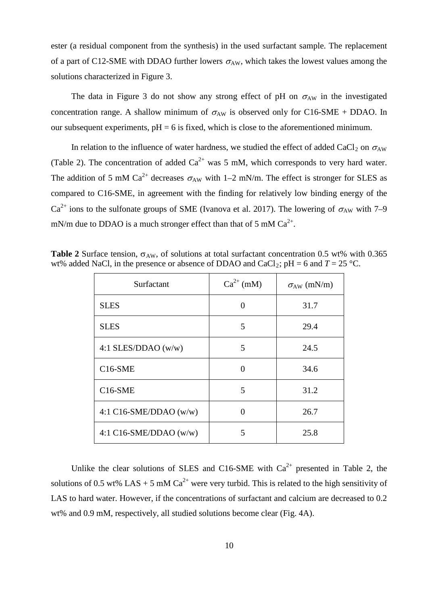ester (a residual component from the synthesis) in the used surfactant sample. The replacement of a part of C12-SME with DDAO further lowers  $\sigma_{AW}$ , which takes the lowest values among the solutions characterized in Figure 3.

The data in Figure 3 do not show any strong effect of pH on  $\sigma_{AW}$  in the investigated concentration range. A shallow minimum of  $\sigma_{AW}$  is observed only for C16-SME + DDAO. In our subsequent experiments,  $pH = 6$  is fixed, which is close to the aforementioned minimum.

In relation to the influence of water hardness, we studied the effect of added CaCl<sub>2</sub> on  $\sigma_{AW}$ (Table 2). The concentration of added  $Ca^{2+}$  was 5 mM, which corresponds to very hard water. The addition of 5 mM  $Ca^{2+}$  decreases  $\sigma_{AW}$  with 1–2 mN/m. The effect is stronger for SLES as compared to C16-SME, in agreement with the finding for relatively low binding energy of the  $Ca^{2+}$  ions to the sulfonate groups of SME (Ivanova et al. 2017). The lowering of  $\sigma_{AW}$  with 7–9 mN/m due to DDAO is a much stronger effect than that of 5 mM  $Ca^{2+}$ .

| Surfactant               | $Ca^{2+}$ (mM) | $\sigma_{AW}$ (mN/m) |
|--------------------------|----------------|----------------------|
| <b>SLES</b>              | 0              | 31.7                 |
| <b>SLES</b>              | 5              | 29.4                 |
| 4:1 SLES/DDAO $(w/w)$    | 5              | 24.5                 |
| $C16-SME$                | 0              | 34.6                 |
| $C16-SME$                | 5              | 31.2                 |
| 4:1 C16-SME/DDAO $(w/w)$ | 0              | 26.7                 |
| 4:1 C16-SME/DDAO $(w/w)$ | 5              | 25.8                 |

**Table 2** Surface tension,  $\sigma_{AW}$ , of solutions at total surfactant concentration 0.5 wt% with 0.365 wt% added NaCl, in the presence or absence of DDAO and CaCl<sub>2</sub>; pH = 6 and  $T = 25$  °C.

Unlike the clear solutions of SLES and C16-SME with  $Ca^{2+}$  presented in Table 2, the solutions of 0.5 wt% LAS + 5 mM  $Ca^{2+}$  were very turbid. This is related to the high sensitivity of LAS to hard water. However, if the concentrations of surfactant and calcium are decreased to 0.2 wt% and 0.9 mM, respectively, all studied solutions become clear (Fig. 4A).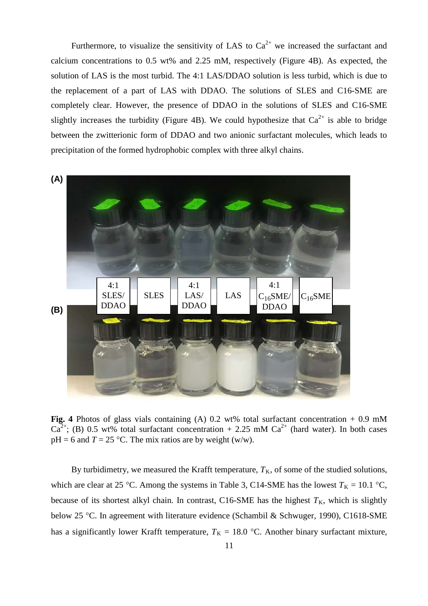Furthermore, to visualize the sensitivity of LAS to  $Ca^{2+}$  we increased the surfactant and calcium concentrations to 0.5 wt% and 2.25 mM, respectively (Figure 4B). As expected, the solution of LAS is the most turbid. The 4:1 LAS/DDAO solution is less turbid, which is due to the replacement of a part of LAS with DDAO. The solutions of SLES and C16-SME are completely clear. However, the presence of DDAO in the solutions of SLES and C16-SME slightly increases the turbidity (Figure 4B). We could hypothesize that  $Ca^{2+}$  is able to bridge between the zwitterionic form of DDAO and two anionic surfactant molecules, which leads to precipitation of the formed hydrophobic complex with three alkyl chains.



Fig. 4 Photos of glass vials containing (A) 0.2 wt% total surfactant concentration + 0.9 mM  $Ca^{2+}$ ; (B) 0.5 wt% total surfactant concentration + 2.25 mM  $Ca^{2+}$  (hard water). In both cases  $pH = 6$  and  $T = 25$  °C. The mix ratios are by weight (w/w).

By turbidimetry, we measured the Krafft temperature,  $T_K$ , of some of the studied solutions, which are clear at 25 °C. Among the systems in Table 3, C14-SME has the lowest  $T_K = 10.1$  °C, because of its shortest alkyl chain. In contrast, C16-SME has the highest  $T_K$ , which is slightly below 25 °C. In agreement with literature evidence (Schambil & Schwuger, 1990), C1618-SME has a significantly lower Krafft temperature,  $T_K = 18.0$  °C. Another binary surfactant mixture,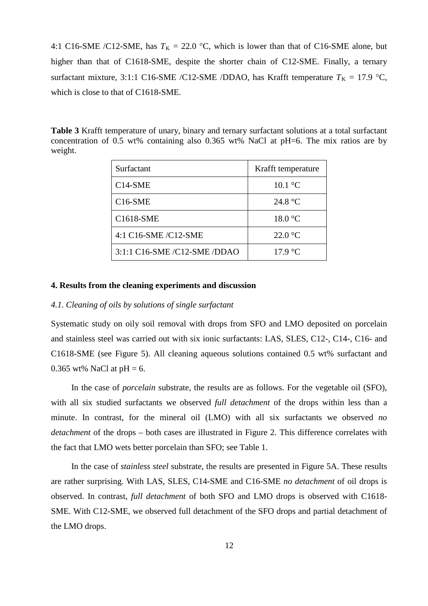4:1 C16-SME /C12-SME, has  $T_K = 22.0$  °C, which is lower than that of C16-SME alone, but higher than that of C1618-SME, despite the shorter chain of C12-SME. Finally, a ternary surfactant mixture, 3:1:1 C16-SME /C12-SME /DDAO, has Krafft temperature  $T_K = 17.9$  °C, which is close to that of C1618-SME.

**Table 3** Krafft temperature of unary, binary and ternary surfactant solutions at a total surfactant concentration of 0.5 wt% containing also 0.365 wt% NaCl at pH=6. The mix ratios are by weight.

| Surfactant                                                     | Krafft temperature |
|----------------------------------------------------------------|--------------------|
| $C14-SME$                                                      | $10.1 \text{ °C}$  |
| $C16-SME$                                                      | 24.8 $\degree$ C   |
| C1618-SME                                                      | 18.0 °C            |
| 4:1 C16-SME/C12-SME                                            | $22.0\text{ °C}$   |
| $3:1:1$ C <sub>16</sub> -SME $/$ C <sub>12</sub> -SME $/$ DDAO | $17.9 \text{ °C}$  |

#### **4. Results from the cleaning experiments and discussion**

## *4.1. Cleaning of oils by solutions of single surfactant*

Systematic study on oily soil removal with drops from SFO and LMO deposited on porcelain and stainless steel was carried out with six ionic surfactants: LAS, SLES, C12-, C14-, C16- and C1618-SME (see Figure 5). All cleaning aqueous solutions contained 0.5 wt% surfactant and 0.365 wt% NaCl at  $pH = 6$ .

In the case of *porcelain* substrate, the results are as follows. For the vegetable oil (SFO), with all six studied surfactants we observed *full detachment* of the drops within less than a minute. In contrast, for the mineral oil (LMO) with all six surfactants we observed *no detachment* of the drops – both cases are illustrated in Figure 2. This difference correlates with the fact that LMO wets better porcelain than SFO; see Table 1.

In the case of *stainless steel* substrate, the results are presented in Figure 5A. These results are rather surprising. With LAS, SLES, C14-SME and C16-SME *no detachment* of oil drops is observed. In contrast, *full detachment* of both SFO and LMO drops is observed with C1618- SME. With C12-SME, we observed full detachment of the SFO drops and partial detachment of the LMO drops.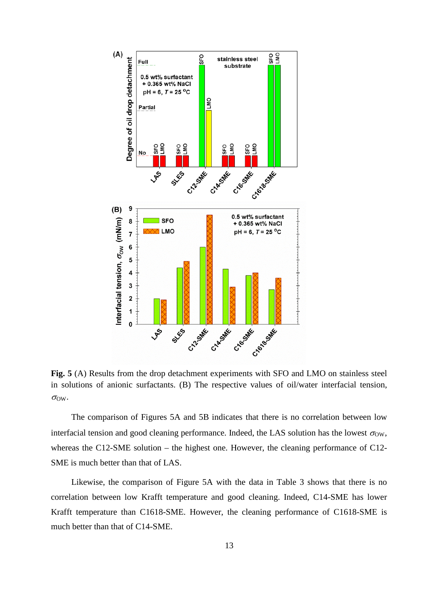

**Fig. 5** (A) Results from the drop detachment experiments with SFO and LMO on stainless steel in solutions of anionic surfactants. (B) The respective values of oil/water interfacial tension,  $\sigma_{\text{OW}}$ .

The comparison of Figures 5A and 5B indicates that there is no correlation between low interfacial tension and good cleaning performance. Indeed, the LAS solution has the lowest  $\sigma_{\text{OW}}$ , whereas the C12-SME solution – the highest one. However, the cleaning performance of C12-SME is much better than that of LAS.

Likewise, the comparison of Figure 5A with the data in Table 3 shows that there is no correlation between low Krafft temperature and good cleaning. Indeed, C14-SME has lower Krafft temperature than C1618-SME. However, the cleaning performance of C1618-SME is much better than that of C14-SME.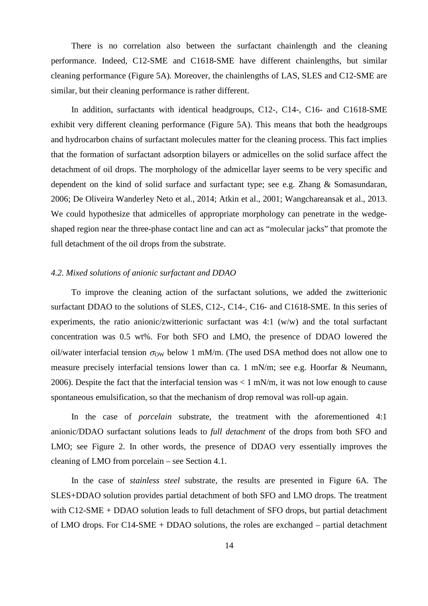There is no correlation also between the surfactant chainlength and the cleaning performance. Indeed, C12-SME and C1618-SME have different chainlengths, but similar cleaning performance (Figure 5A). Moreover, the chainlengths of LAS, SLES and C12-SME are similar, but their cleaning performance is rather different.

In addition, surfactants with identical headgroups, C12-, C14-, C16- and C1618-SME exhibit very different cleaning performance (Figure 5A). This means that both the headgroups and hydrocarbon chains of surfactant molecules matter for the cleaning process. This fact implies that the formation of surfactant adsorption bilayers or admicelles on the solid surface affect the detachment of oil drops. The morphology of the admicellar layer seems to be very specific and dependent on the kind of solid surface and surfactant type; see e.g. Zhang & Somasundaran, 2006; De Oliveira Wanderley Neto et al., 2014; Atkin et al., 2001; Wangchareansak et al., 2013. We could hypothesize that admicelles of appropriate morphology can penetrate in the wedgeshaped region near the three-phase contact line and can act as "molecular jacks" that promote the full detachment of the oil drops from the substrate.

### *4.2. Mixed solutions of anionic surfactant and DDAO*

To improve the cleaning action of the surfactant solutions, we added the zwitterionic surfactant DDAO to the solutions of SLES, C12-, C14-, C16- and C1618-SME. In this series of experiments, the ratio anionic/zwitterionic surfactant was  $4:1 \, (w/w)$  and the total surfactant concentration was 0.5 wt%. For both SFO and LMO, the presence of DDAO lowered the oil/water interfacial tension  $\sigma_{OW}$  below 1 mM/m. (The used DSA method does not allow one to measure precisely interfacial tensions lower than ca. 1 mN/m; see e.g. Hoorfar & Neumann, 2006). Despite the fact that the interfacial tension was  $\langle 1 \text{ mN/m} \rangle$ , it was not low enough to cause spontaneous emulsification, so that the mechanism of drop removal was roll-up again.

In the case of *porcelain* substrate, the treatment with the aforementioned 4:1 anionic/DDAO surfactant solutions leads to *full detachment* of the drops from both SFO and LMO; see Figure 2. In other words, the presence of DDAO very essentially improves the cleaning of LMO from porcelain – see Section 4.1.

In the case of *stainless steel* substrate, the results are presented in Figure 6A. The SLES+DDAO solution provides partial detachment of both SFO and LMO drops. The treatment with C12-SME + DDAO solution leads to full detachment of SFO drops, but partial detachment of LMO drops. For C14-SME + DDAO solutions, the roles are exchanged – partial detachment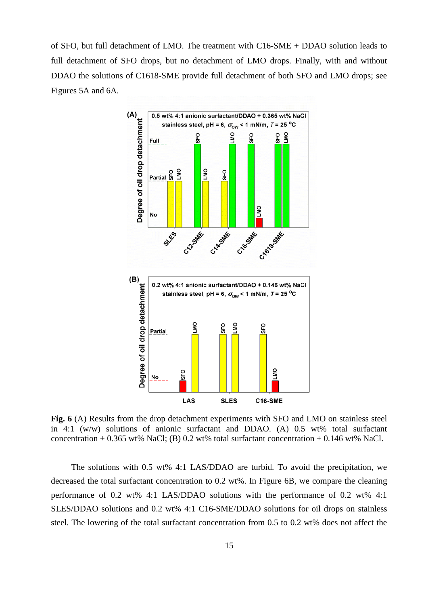of SFO, but full detachment of LMO. The treatment with C16-SME + DDAO solution leads to full detachment of SFO drops, but no detachment of LMO drops. Finally, with and without DDAO the solutions of C1618-SME provide full detachment of both SFO and LMO drops; see Figures 5A and 6A.



**Fig. 6** (A) Results from the drop detachment experiments with SFO and LMO on stainless steel in 4:1 (w/w) solutions of anionic surfactant and DDAO. (A) 0.5 wt% total surfactant concentration + 0.365 wt% NaCl; (B) 0.2 wt% total surfactant concentration + 0.146 wt% NaCl.

The solutions with 0.5 wt% 4:1 LAS/DDAO are turbid. To avoid the precipitation, we decreased the total surfactant concentration to 0.2 wt%. In Figure 6B, we compare the cleaning performance of 0.2 wt% 4:1 LAS/DDAO solutions with the performance of 0.2 wt% 4:1 SLES/DDAO solutions and 0.2 wt% 4:1 C16-SME/DDAO solutions for oil drops on stainless steel. The lowering of the total surfactant concentration from 0.5 to 0.2 wt% does not affect the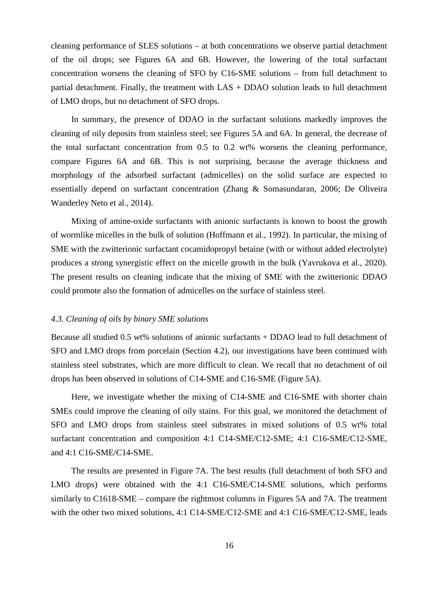cleaning performance of SLES solutions – at both concentrations we observe partial detachment of the oil drops; see Figures 6A and 6B. However, the lowering of the total surfactant concentration worsens the cleaning of SFO by C16-SME solutions – from full detachment to partial detachment. Finally, the treatment with LAS + DDAO solution leads to full detachment of LMO drops, but no detachment of SFO drops.

In summary, the presence of DDAO in the surfactant solutions markedly improves the cleaning of oily deposits from stainless steel; see Figures 5A and 6A. In general, the decrease of the total surfactant concentration from 0.5 to 0.2 wt% worsens the cleaning performance, compare Figures 6A and 6B. This is not surprising, because the average thickness and morphology of the adsorbed surfactant (admicelles) on the solid surface are expected to essentially depend on surfactant concentration (Zhang & Somasundaran, 2006; De Oliveira Wanderley Neto et al., 2014).

Mixing of amine-oxide surfactants with anionic surfactants is known to boost the growth of wormlike micelles in the bulk of solution (Hoffmann et al., 1992). In particular, the mixing of SME with the zwitterionic surfactant cocamidopropyl betaine (with or without added electrolyte) produces a strong synergistic effect on the micelle growth in the bulk (Yavrukova et al., 2020). The present results on cleaning indicate that the mixing of SME with the zwitterionic DDAO could promote also the formation of admicelles on the surface of stainless steel.

#### *4.3. Cleaning of oils by binary SME solutions*

Because all studied 0.5 wt% solutions of anionic surfactants + DDAO lead to full detachment of SFO and LMO drops from porcelain (Section 4.2), our investigations have been continued with stainless steel substrates, which are more difficult to clean. We recall that no detachment of oil drops has been observed in solutions of C14-SME and C16-SME (Figure 5A).

Here, we investigate whether the mixing of C14-SME and C16-SME with shorter chain SMEs could improve the cleaning of oily stains. For this goal, we monitored the detachment of SFO and LMO drops from stainless steel substrates in mixed solutions of 0.5 wt% total surfactant concentration and composition 4:1 C14-SME/C12-SME; 4:1 C16-SME/C12-SME, and 4:1 C16-SME/C14-SME.

The results are presented in Figure 7A. The best results (full detachment of both SFO and LMO drops) were obtained with the 4:1 C16-SME/C14-SME solutions, which performs similarly to C1618-SME – compare the rightmost columns in Figures 5A and 7A. The treatment with the other two mixed solutions, 4:1 C14-SME/C12-SME and 4:1 C16-SME/C12-SME, leads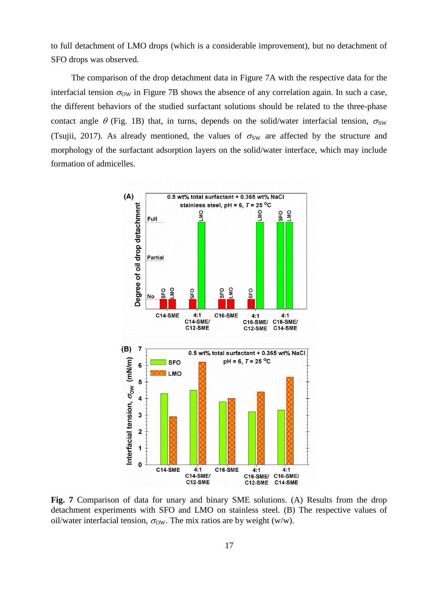to full detachment of LMO drops (which is a considerable improvement), but no detachment of SFO drops was observed.

The comparison of the drop detachment data in Figure 7A with the respective data for the interfacial tension  $\sigma_{OW}$  in Figure 7B shows the absence of any correlation again. In such a case, the different behaviors of the studied surfactant solutions should be related to the three-phase contact angle  $\theta$  (Fig. 1B) that, in turns, depends on the solid/water interfacial tension,  $\sigma_{SW}$ (Tsujii, 2017). As already mentioned, the values of  $\sigma_{SW}$  are affected by the structure and morphology of the surfactant adsorption layers on the solid/water interface, which may include formation of admicelles.



**Fig. 7** Comparison of data for unary and binary SME solutions. (A) Results from the drop detachment experiments with SFO and LMO on stainless steel. (B) The respective values of oil/water interfacial tension,  $\sigma_{OW}$ . The mix ratios are by weight (w/w).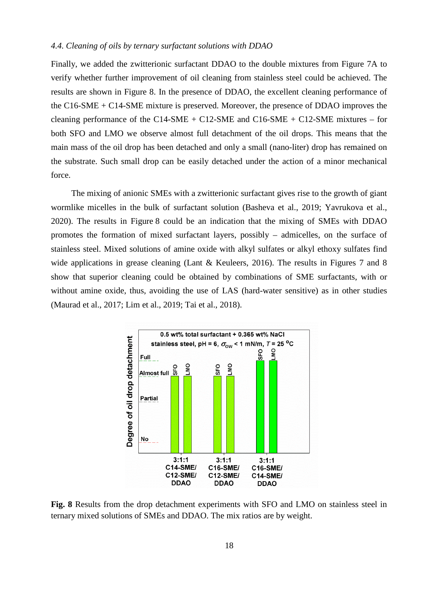#### *4.4. Cleaning of oils by ternary surfactant solutions with DDAO*

Finally, we added the zwitterionic surfactant DDAO to the double mixtures from Figure 7A to verify whether further improvement of oil cleaning from stainless steel could be achieved. The results are shown in Figure 8. In the presence of DDAO, the excellent cleaning performance of the C16-SME + C14-SME mixture is preserved. Moreover, the presence of DDAO improves the cleaning performance of the C14-SME + C12-SME and C16-SME + C12-SME mixtures – for both SFO and LMO we observe almost full detachment of the oil drops. This means that the main mass of the oil drop has been detached and only a small (nano-liter) drop has remained on the substrate. Such small drop can be easily detached under the action of a minor mechanical force.

The mixing of anionic SMEs with a zwitterionic surfactant gives rise to the growth of giant wormlike micelles in the bulk of surfactant solution (Basheva et al., 2019; Yavrukova et al., 2020). The results in Figure 8 could be an indication that the mixing of SMEs with DDAO promotes the formation of mixed surfactant layers, possibly – admicelles, on the surface of stainless steel. Mixed solutions of amine oxide with alkyl sulfates or alkyl ethoxy sulfates find wide applications in grease cleaning (Lant & Keuleers, 2016). The results in Figures 7 and 8 show that superior cleaning could be obtained by combinations of SME surfactants, with or without amine oxide, thus, avoiding the use of LAS (hard-water sensitive) as in other studies (Maurad et al., 2017; Lim et al., 2019; Tai et al., 2018).



**Fig. 8** Results from the drop detachment experiments with SFO and LMO on stainless steel in ternary mixed solutions of SMEs and DDAO. The mix ratios are by weight.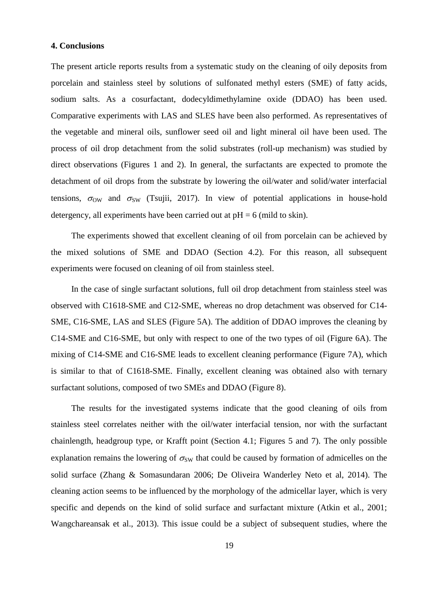## **4. Conclusions**

The present article reports results from a systematic study on the cleaning of oily deposits from porcelain and stainless steel by solutions of sulfonated methyl esters (SME) of fatty acids, sodium salts. As a cosurfactant, dodecyldimethylamine oxide (DDAO) has been used. Comparative experiments with LAS and SLES have been also performed. As representatives of the vegetable and mineral oils, sunflower seed oil and light mineral oil have been used. The process of oil drop detachment from the solid substrates (roll-up mechanism) was studied by direct observations (Figures 1 and 2). In general, the surfactants are expected to promote the detachment of oil drops from the substrate by lowering the oil/water and solid/water interfacial tensions,  $\sigma_{OW}$  and  $\sigma_{SW}$  (Tsujii, 2017). In view of potential applications in house-hold detergency, all experiments have been carried out at  $pH = 6$  (mild to skin).

The experiments showed that excellent cleaning of oil from porcelain can be achieved by the mixed solutions of SME and DDAO (Section 4.2). For this reason, all subsequent experiments were focused on cleaning of oil from stainless steel.

In the case of single surfactant solutions, full oil drop detachment from stainless steel was observed with C1618-SME and C12-SME, whereas no drop detachment was observed for C14- SME, C16-SME, LAS and SLES (Figure 5A). The addition of DDAO improves the cleaning by C14-SME and C16-SME, but only with respect to one of the two types of oil (Figure 6A). The mixing of C14-SME and C16-SME leads to excellent cleaning performance (Figure 7A), which is similar to that of C1618-SME. Finally, excellent cleaning was obtained also with ternary surfactant solutions, composed of two SMEs and DDAO (Figure 8).

The results for the investigated systems indicate that the good cleaning of oils from stainless steel correlates neither with the oil/water interfacial tension, nor with the surfactant chainlength, headgroup type, or Krafft point (Section 4.1; Figures 5 and 7). The only possible explanation remains the lowering of  $\sigma_{SW}$  that could be caused by formation of admicelles on the solid surface (Zhang & Somasundaran 2006; De Oliveira Wanderley Neto et al, 2014). The cleaning action seems to be influenced by the morphology of the admicellar layer, which is very specific and depends on the kind of solid surface and surfactant mixture (Atkin et al., 2001; Wangchareansak et al., 2013). This issue could be a subject of subsequent studies, where the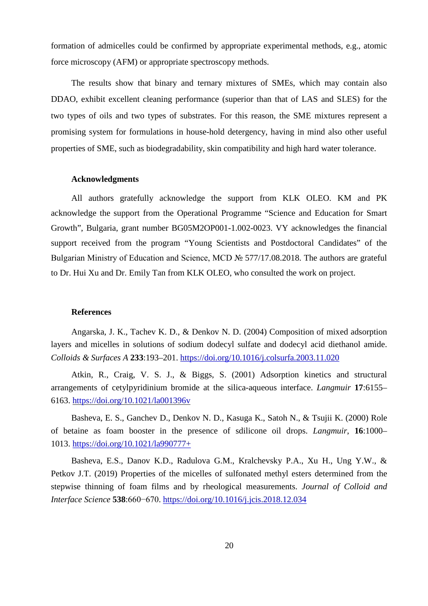formation of admicelles could be confirmed by appropriate experimental methods, e.g., atomic force microscopy (AFM) or appropriate spectroscopy methods.

The results show that binary and ternary mixtures of SMEs, which may contain also DDAO, exhibit excellent cleaning performance (superior than that of LAS and SLES) for the two types of oils and two types of substrates. For this reason, the SME mixtures represent a promising system for formulations in house-hold detergency, having in mind also other useful properties of SME, such as biodegradability, skin compatibility and high hard water tolerance.

### **Acknowledgments**

All authors gratefully acknowledge the support from KLK OLEO. KM and PK acknowledge the support from the Operational Programme "Science and Education for Smart Growth", Bulgaria, grant number BG05M2OP001-1.002-0023. VY acknowledges the financial support received from the program "Young Scientists and Postdoctoral Candidates" of the Bulgarian Ministry of Education and Science, MCD № 577/17.08.2018. The authors are grateful to Dr. Hui Xu and Dr. Emily Tan from KLK OLEO, who consulted the work on project.

### **References**

Angarska, J. K., Tachev K. D., & Denkov N. D. (2004) Composition of mixed adsorption layers and micelles in solutions of sodium dodecyl sulfate and dodecyl acid diethanol amide. *Colloids & Surfaces A* **233**:193–201. <https://doi.org/10.1016/j.colsurfa.2003.11.020>

Atkin, R., Craig, V. S. J., & Biggs, S. (2001) Adsorption kinetics and structural arrangements of cetylpyridinium bromide at the silica-aqueous interface. *Langmuir* **17**:6155– 6163.<https://doi.org/10.1021/la001396v>

Basheva, E. S., Ganchev D., Denkov N. D., Kasuga K., Satoh N., & Tsujii K. (2000) Role of betaine as foam booster in the presence of sdilicone oil drops. *Langmuir*, **16**:1000– 1013. <https://doi.org/10.1021/la990777+>

Basheva, E.S., Danov K.D., Radulova G.M., Kralchevsky P.A., Xu H., Ung Y.W., & Petkov J.T. (2019) Properties of the micelles of sulfonated methyl esters determined from the stepwise thinning of foam films and by rheological measurements. *Journal of Colloid and Interface Science* **538**:660−670.<https://doi.org/10.1016/j.jcis.2018.12.034>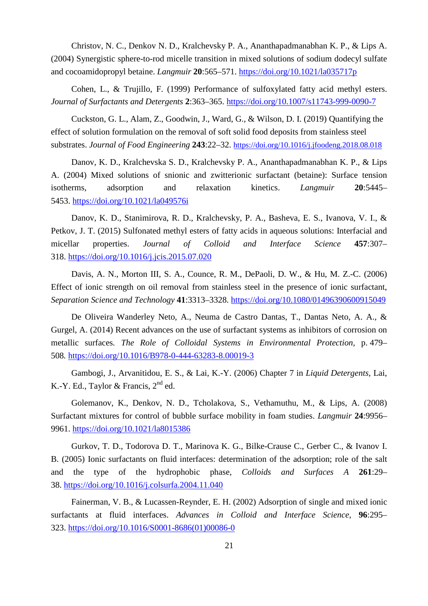Christov, N. C., Denkov N. D., Kralchevsky P. A., Ananthapadmanabhan K. P., & Lips A. (2004) Synergistic sphere-to-rod micelle transition in mixed solutions of sodium dodecyl sulfate and cocoamidopropyl betaine. *Langmuir* **20**:565–571. <https://doi.org/10.1021/la035717p>

Cohen, L., & Trujillo, F. (1999) Performance of sulfoxylated fatty acid methyl esters. *Journal of Surfactants and Detergents* **2**:363–365. <https://doi.org/10.1007/s11743-999-0090-7>

Cuckston, G. L., Alam, Z., Goodwin, J., Ward, G., & Wilson, D. I. (2019) Quantifying the effect of solution formulation on the removal of soft solid food deposits from stainless steel substrates. *Journal of Food Engineering* **243**:22–32. <https://doi.org/10.1016/j.jfoodeng.2018.08.018>

Danov, K. D., Kralchevska S. D., Kralchevsky P. A., Ananthapadmanabhan K. P., & Lips A. (2004) Mixed solutions of snionic and zwitterionic surfactant (betaine): Surface tension isotherms, adsorption and relaxation kinetics. *Langmuir* **20**:5445– 5453.<https://doi.org/10.1021/la049576i>

Danov, K. D., Stanimirova, R. D., Kralchevsky, P. A., Basheva, E. S., Ivanova, V. I., & Petkov, J. T. (2015) Sulfonated methyl esters of fatty acids in aqueous solutions: Interfacial and micellar properties. *Journal of Colloid and Interface Science* **457**:307– 318. <https://doi.org/10.1016/j.jcis.2015.07.020>

Davis, A. N., Morton III, S. A., Counce, R. M., DePaoli, D. W., & Hu, M. Z.-C. (2006) Effect of ionic strength on oil removal from stainless steel in the presence of ionic surfactant, *Separation Science and Technology* **41**:3313–3328. <https://doi.org/10.1080/01496390600915049>

De Oliveira Wanderley Neto, A., Neuma de Castro Dantas, T., Dantas Neto, A. A., & Gurgel, A. (2014) Recent advances on the use of surfactant systems as inhibitors of corrosion on metallic surfaces*. The Role of Colloidal Systems in Environmental Protection,* p. 479– 508*.* <https://doi.org/10.1016/B978-0-444-63283-8.00019-3>

Gambogi, J., Arvanitidou, E. S., & Lai, K.-Y. (2006) Chapter 7 in *Liquid Detergents*, Lai, K.-Y. Ed., Taylor & Francis,  $2^{nd}$  ed.

Golemanov, K., Denkov, N. D., Tcholakova, S., Vethamuthu, M., & Lips, A. (2008) Surfactant mixtures for control of bubble surface mobility in foam studies. *Langmuir* **24**:9956– 9961. <https://doi.org/10.1021/la8015386>

Gurkov, T. D., Todorova D. T., Marinova K. G., Bilke-Crause C., Gerber C., & Ivanov I. B. (2005) Ionic surfactants on fluid interfaces: determination of the adsorption; role of the salt and the type of the hydrophobic phase, *Colloids and Surfaces A* **261**:29– 38. <https://doi.org/10.1016/j.colsurfa.2004.11.040>

Fainerman, V. B., & Lucassen-Reynder, E. H. (2002) Adsorption of single and mixed ionic surfactants at fluid interfaces. *Advances in Colloid and Interface Science*, **96**:295– 323. [https://doi.org/10.1016/S0001-8686\(01\)00086-0](https://doi.org/10.1016/S0001-8686(01)00086-0)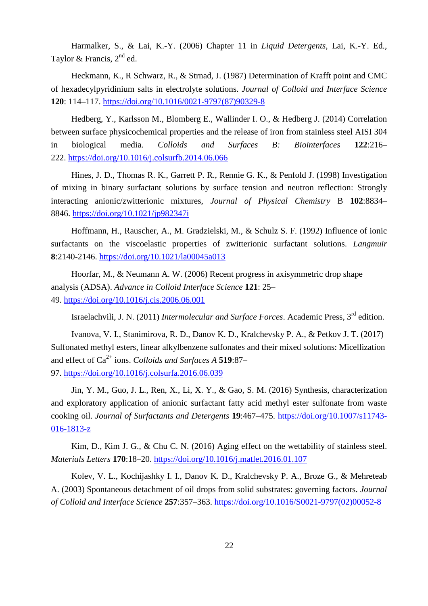Harmalker, S., & Lai, K.-Y. (2006) Chapter 11 in *Liquid Detergents*, Lai, K.-Y. Ed., Taylor & Francis,  $2<sup>nd</sup>$  ed.

Heckmann, K., R Schwarz, R., & Strnad, J. (1987) Determination of Krafft point and CMC of hexadecylpyridinium salts in electrolyte solutions. *Journal of Colloid and Interface Science* **120**: 114–117. [https://doi.org/10.1016/0021-9797\(87\)90329-8](https://doi.org/10.1016/0021-9797%2887%2990329-8)

Hedberg, Y., Karlsson M., Blomberg E., Wallinder I. O., & Hedberg J. (2014) Correlation between surface physicochemical properties and the release of iron from stainless steel AISI 304 in biological media. *Colloids and Surfaces B: Biointerfaces* **122**:216– 222. <https://doi.org/10.1016/j.colsurfb.2014.06.066>

Hines, J. D., Thomas R. K., Garrett P. R., Rennie G. K., & Penfold J. (1998) Investigation of mixing in binary surfactant solutions by surface tension and neutron reflection: Strongly interacting anionic/zwitterionic mixtures, *Journal of Physical Chemistry* B **102**:8834– 8846. <https://doi.org/10.1021/jp982347i>

Hoffmann, H., Rauscher, A., M. Gradzielski, M., & Schulz S. F. (1992) Influence of ionic surfactants on the viscoelastic properties of zwitterionic surfactant solutions. *Langmuir* **8**:2140-2146. <https://doi.org/10.1021/la00045a013>

Hoorfar, M., & Neumann A. W. (2006) Recent progress in axisymmetric drop shape analysis (ADSA). *Advance in Colloid Interface Science* **121**: 25– 49. <https://doi.org/10.1016/j.cis.2006.06.001>

Israelachvili, J. N. (2011) *Intermolecular and Surface Forces*. Academic Press, 3rd edition.

Ivanova, V. I., Stanimirova, R. D., Danov K. D., Kralchevsky P. A., & Petkov J. T. (2017) Sulfonated methyl esters, linear alkylbenzene sulfonates and their mixed solutions: Micellization and effect of Ca2+ ions. *Colloids and Surfaces A* **519**:87– 97.<https://doi.org/10.1016/j.colsurfa.2016.06.039>

Jin, Y. M., Guo, J. L., Ren, X., Li, X. Y., & Gao, S. M. (2016) Synthesis, characterization and exploratory application of anionic surfactant fatty acid methyl ester sulfonate from waste cooking oil. *Journal of Surfactants and Detergents* **19**:467–475. [https://doi.org/10.1007/s11743-](https://doi.org/10.1007/s11743-016-1813-z) [016-1813-z](https://doi.org/10.1007/s11743-016-1813-z)

Kim, D., Kim J. G., & Chu C. N. (2016) Aging effect on the wettability of stainless steel. *Materials Letters* **170**:18–20. <https://doi.org/10.1016/j.matlet.2016.01.107>

Kolev, V. L., Kochijashky I. I., Danov K. D., Kralchevsky P. A., Broze G., & Mehreteab A. (2003) Spontaneous detachment of oil drops from solid substrates: governing factors. *Journal of Colloid and Interface Science* **257**:357–363. [https://doi.org/10.1016/S0021-9797\(02\)00052-8](https://doi.org/10.1016/S0021-9797(02)00052-8)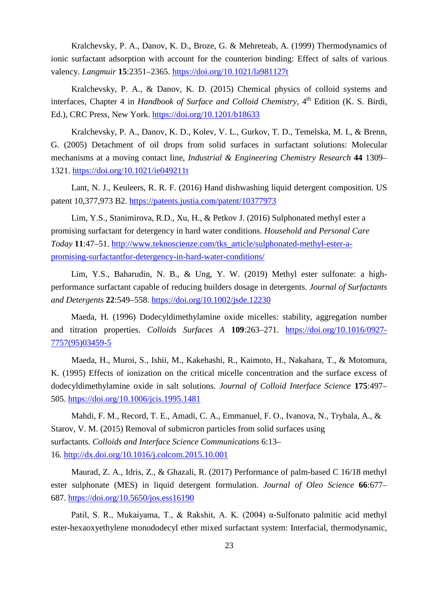Kralchevsky, P. A., Danov, K. D., Broze, G. & Mehreteab, A. (1999) Thermodynamics of ionic surfactant adsorption with account for the counterion binding: Effect of salts of various valency. *Langmuir* **15**:2351–2365. <https://doi.org/10.1021/la981127t>

Kralchevsky, P. A., & Danov, K. D. (2015) Chemical physics of colloid systems and interfaces, Chapter 4 in *Handbook of Surface and Colloid Chemistry*, 4<sup>th</sup> Edition (K. S. Birdi, Ed.), CRC Press, New York. <https://doi.org/10.1201/b18633>

Kralchevsky, P. A., Danov, K. D., Kolev, V. L., Gurkov, T. D., Temelska, M. I., & Brenn, G. (2005) Detachment of oil drops from solid surfaces in surfactant solutions: Molecular mechanisms at a moving contact line, *Industrial & Engineering Chemistry Research* **44** 1309– 1321. <https://doi.org/10.1021/ie049211t>

Lant, N. J., Keuleers, R. R. F. (2016) Hand dishwashing liquid detergent composition. US patent 10,377,973 B2.<https://patents.justia.com/patent/10377973>

Lim, Y.S., Stanimirova, R.D., Xu, H., & Petkov J. (2016) Sulphonated methyl ester a promising surfactant for detergency in hard water conditions. *Household and Personal Care Today* **11**:47–51. [http://www.teknoscienze.com/tks\\_article/sulphonated-methyl-ester-a](http://www.teknoscienze.com/tks_article/sulphonated-methyl-ester-a-promising-surfactantfor-detergency-in-hard-water-conditions/)[promising-surfactantfor-detergency-in-hard-water-conditions/](http://www.teknoscienze.com/tks_article/sulphonated-methyl-ester-a-promising-surfactantfor-detergency-in-hard-water-conditions/)

Lim, Y.S., Baharudin, N. B., & Ung, Y. W. (2019) Methyl ester sulfonate: a highperformance surfactant capable of reducing builders dosage in detergents. *Journal of Surfactants and Detergents* **22**:549–558. <https://doi.org/10.1002/jsde.12230>

Maeda, H. (1996) Dodecyldimethylamine oxide micelles: stability, aggregation number and titration properties. *Colloids Surfaces A* **109**:263–271. [https://doi.org/10.1016/0927-](https://doi.org/10.1016/0927-7757(95)03459-5) [7757\(95\)03459-5](https://doi.org/10.1016/0927-7757(95)03459-5)

Maeda, H., Muroi, S., Ishii, M., Kakehashi, R., Kaimoto, H., Nakahara, T., & Motomura, K. (1995) Effects of ionization on the critical micelle concentration and the surface excess of dodecyldimethylamine oxide in salt solutions. *Journal of Colloid Interface Science* **175**:497– 505.<https://doi.org/10.1006/jcis.1995.1481>

Mahdi, F. M., Record, T. E., Amadi, C. A., Emmanuel, F. O., Ivanova, N., Trybala, A., & Starov, V. M. (2015) Removal of submicron particles from solid surfaces using surfactants. *Colloids and Interface Science Communications* 6:13– 16.<http://dx.doi.org/10.1016/j.colcom.2015.10.001>

Maurad, Z. A., Idris, Z., & Ghazali, R. (2017) Performance of palm-based C 16/18 methyl ester sulphonate (MES) in liquid detergent formulation. *Journal of Oleo Science* **66**:677– 687. <https://doi.org/10.5650/jos.ess16190>

Patil, S. R., Mukaiyama, T., & Rakshit, A. K. (2004) α-Sulfonato palmitic acid methyl ester-hexaoxyethylene monododecyl ether mixed surfactant system: Interfacial, thermodynamic,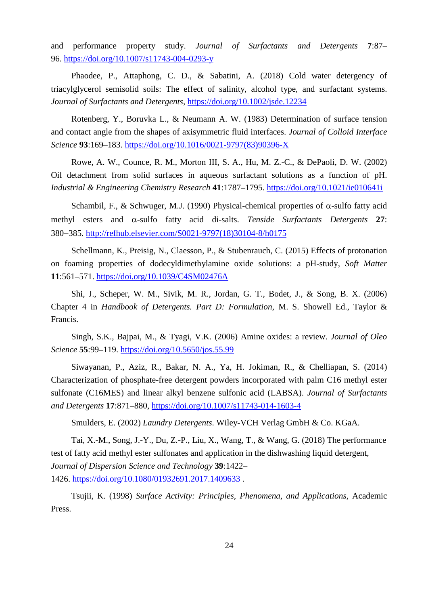and performance property study. *Journal of Surfactants and Detergents* **7**:87– 96. <https://doi.org/10.1007/s11743-004-0293-y>

Phaodee, P., Attaphong, C. D., & Sabatini, A. (2018) Cold water detergency of triacylglycerol semisolid soils: The effect of salinity, alcohol type, and surfactant systems. *Journal of Surfactants and Detergents*, <https://doi.org/10.1002/jsde.12234>

Rotenberg, Y., Boruvka L., & Neumann A. W. (1983) Determination of surface tension and contact angle from the shapes of axisymmetric fluid interfaces. *Journal of Colloid Interface Science* **93**:169–183. [https://doi.org/10.1016/0021-9797\(83\)90396-X](https://doi.org/10.1016/0021-9797(83)90396-X)

Rowe, A. W., Counce, R. M., Morton III, S. A., Hu, M. Z.-C., & DePaoli, D. W. (2002) Oil detachment from solid surfaces in aqueous surfactant solutions as a function of pH. *Industrial & Engineering Chemistry Research* **41**:1787–1795.<https://doi.org/10.1021/ie010641i>

Schambil, F., & Schwuger, M.J. (1990) Physical-chemical properties of  $\alpha$ -sulfo fatty acid methyl esters and α-sulfo fatty acid di-salts. *Tenside Surfactants Detergents* **27**: 380−385. [http://refhub.elsevier.com/S0021-9797\(18\)30104-8/h0175](http://refhub.elsevier.com/S0021-9797(18)30104-8/h0175)

Schellmann, K., Preisig, N., Claesson, P., & Stubenrauch, C. (2015) Effects of protonation on foaming properties of dodecyldimethylamine oxide solutions: a pH-study, *Soft Matter* **11**:561–571.<https://doi.org/10.1039/C4SM02476A>

Shi, J., Scheper, W. M., Sivik, M. R., Jordan, G. T., Bodet, J., & Song, B. X. (2006) Chapter 4 in *Handbook of Detergents. Part D: Formulation*, M. S. Showell Ed., Taylor & Francis.

Singh, S.K., Bajpai, M., & Tyagi, V.K. (2006) Amine oxides: a review. *Journal of Oleo Science* **55**:99–119. <https://doi.org/10.5650/jos.55.99>

Siwayanan, P., Aziz, R., Bakar, N. A., Ya, H. Jokiman, R., & Chelliapan, S. (2014) Characterization of phosphate-free detergent powders incorporated with palm C16 methyl ester sulfonate (C16MES) and linear alkyl benzene sulfonic acid (LABSA). *Journal of Surfactants and Detergents* **17**:871–880,<https://doi.org/10.1007/s11743-014-1603-4>

Smulders, E. (2002) *Laundry Detergents*. Wiley-VCH Verlag GmbH & Co. KGaA.

Tai, X.-M., Song, J.-Y., Du, Z.-P., Liu, X., Wang, T., & Wang, G. (2018) The performance test of fatty acid methyl ester sulfonates and application in the dishwashing liquid detergent, *Journal of Dispersion Science and Technology* **39**:1422– 1426. <https://doi.org/10.1080/01932691.2017.1409633> .

Tsujii, K. (1998) *Surface Activity: Principles, Phenomena, and Applications*, Academic Press.